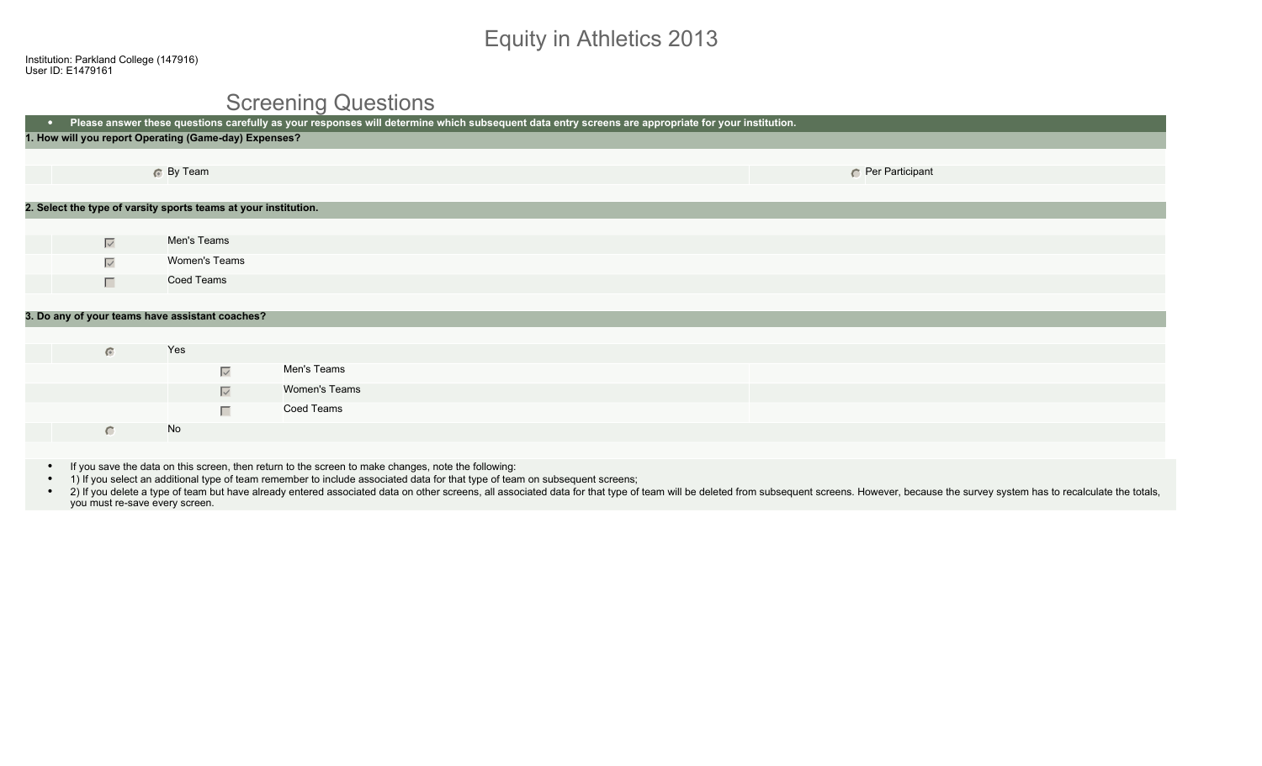# Equity in Athletics 2013

#### Screening Questions

| $\bullet$ . | Please answer these questions carefully as your responses will determine which subsequent data entry screens are appropriate for your institution. |               |                                                                 |  |  |                 |  |
|-------------|----------------------------------------------------------------------------------------------------------------------------------------------------|---------------|-----------------------------------------------------------------|--|--|-----------------|--|
|             | 1. How will you report Operating (Game-day) Expenses?                                                                                              |               |                                                                 |  |  |                 |  |
|             |                                                                                                                                                    |               |                                                                 |  |  |                 |  |
|             |                                                                                                                                                    | 6 By Team     |                                                                 |  |  | Per Participant |  |
|             |                                                                                                                                                    |               |                                                                 |  |  |                 |  |
|             |                                                                                                                                                    |               | 2. Select the type of varsity sports teams at your institution. |  |  |                 |  |
|             |                                                                                                                                                    |               |                                                                 |  |  |                 |  |
|             | $\overline{\vee}$                                                                                                                                  | Men's Teams   |                                                                 |  |  |                 |  |
|             | $\overline{\smile}$                                                                                                                                | Women's Teams |                                                                 |  |  |                 |  |
|             | $\Box$                                                                                                                                             | Coed Teams    |                                                                 |  |  |                 |  |
|             |                                                                                                                                                    |               |                                                                 |  |  |                 |  |
|             | 3. Do any of your teams have assistant coaches?                                                                                                    |               |                                                                 |  |  |                 |  |
|             |                                                                                                                                                    |               |                                                                 |  |  |                 |  |
|             | $\bullet$                                                                                                                                          | Yes           |                                                                 |  |  |                 |  |
|             |                                                                                                                                                    |               | Men's Teams<br>$\overline{\smile}$                              |  |  |                 |  |
|             |                                                                                                                                                    |               | Women's Teams<br>$\overline{\vee}$                              |  |  |                 |  |
|             |                                                                                                                                                    |               | Coed Teams<br>П                                                 |  |  |                 |  |
|             | $\bigcirc$                                                                                                                                         | No            |                                                                 |  |  |                 |  |
|             |                                                                                                                                                    |               |                                                                 |  |  |                 |  |

- If you save the data on this screen, then return to the screen to make changes, note the following:
- 1) If you select an additional type of team remember to include associated data for that type of team on subsequent screens;
- . 2) If you delete a type of team but have already entered associated data on other screens, all associated data for that type of team will be deleted from subsequent screens. However, because the survey system has to reca you must re-save every screen.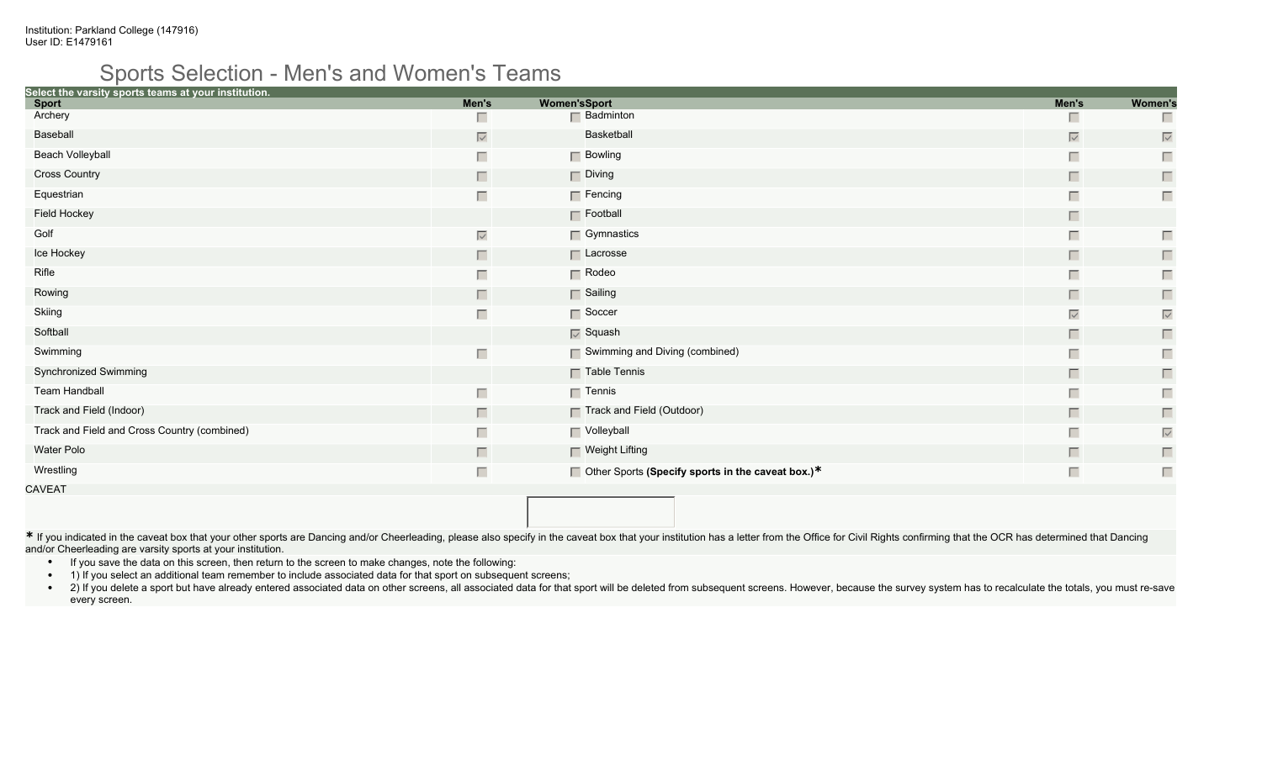#### Sports Selection - Men's and Women's Teams

| Select the varsity sports teams at your institution. |                   |                     |                                                          |                   |                   |
|------------------------------------------------------|-------------------|---------------------|----------------------------------------------------------|-------------------|-------------------|
| <b>Sport</b><br>Archery                              | Men's             | <b>Women'sSport</b> |                                                          | Men's             | <b>Women's</b>    |
|                                                      |                   |                     | $\Box$ Badminton                                         | Ш                 |                   |
| Baseball                                             | $\overline{\vee}$ |                     | Basketball                                               | $\overline{\vee}$ | $\overline{\vee}$ |
| <b>Beach Volleyball</b>                              | Г                 |                     | $\Box$ Bowling                                           | Г                 | Г                 |
| <b>Cross Country</b>                                 | П                 |                     | $\Box$ Diving                                            | $\Box$            | П                 |
| Equestrian                                           | Г                 |                     | $\Box$ Fencing                                           | Г                 | П                 |
| Field Hockey                                         |                   |                     | $\Gamma$ Football                                        | П                 |                   |
| Golf                                                 | $\overline{\vee}$ |                     | $\Box$ Gymnastics                                        | Г                 | Г                 |
| Ice Hockey                                           | Г                 |                     | $\Box$ Lacrosse                                          | $\Box$            | $\Box$            |
| Rifle                                                | Г                 |                     | $\Gamma$ Rodeo                                           | Г                 | Г                 |
| Rowing                                               | Г                 |                     | Sailing                                                  | П                 | $\Box$            |
| Skiing                                               | Г                 |                     | $\Gamma$ Soccer                                          | $\overline{\vee}$ | $\overline{\vee}$ |
| Softball                                             |                   |                     | $\overline{\vee}$ Squash                                 | $\Box$            | $\Box$            |
| Swimming                                             | Г                 |                     | $\Box$ Swimming and Diving (combined)                    | Г                 | $\Box$            |
| Synchronized Swimming                                |                   |                     | $\Box$ Table Tennis                                      | $\Box$            | $\Box$            |
| <b>Team Handball</b>                                 | Г                 |                     | $\Box$ Tennis                                            | Г                 | П                 |
| Track and Field (Indoor)                             | П                 |                     | Track and Field (Outdoor)                                | П                 | П                 |
| Track and Field and Cross Country (combined)         |                   |                     | Volleyball                                               | Г                 | $\overline{\vee}$ |
| Water Polo                                           | П                 |                     | $\Box$ Weight Lifting                                    | $\Box$            | $\Box$            |
| Wrestling                                            | Г                 |                     | $\Box$ Other Sports (Specify sports in the caveat box.)* | Г                 | Г                 |
| CAVEAT                                               |                   |                     |                                                          |                   |                   |

\* If you indicated in the caveat box that your other sports are Dancing and/or Cheerleading, please also specify in the caveat box that your institution has a letter from the Office for Civil Rights confirming that the OCR and/or Cheerleading are varsity sports at your institution.

- If you save the data on this screen, then return to the screen to make changes, note the following:
- 1) If you select an additional team remember to include associated data for that sport on subsequent screens;
- . 2) If you delete a sport but have already entered associated data on other screens, all associated data for that sport will be deleted from subsequent screens. However, because the survey system has to recalculate the to every screen.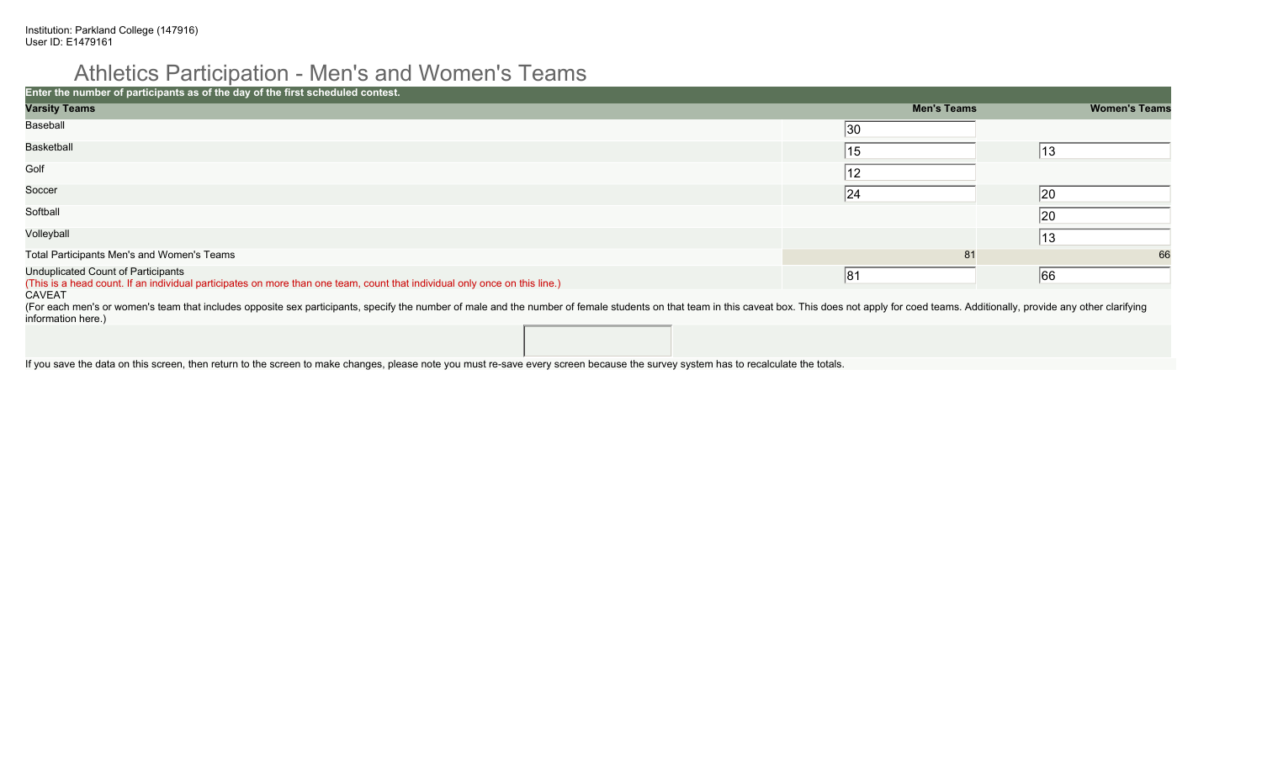# Athletics Participation - Men's and Women's Teams

| Enter the number of participants as of the day of the first scheduled contest.                                                                                                                                                                                 |                    |                      |
|----------------------------------------------------------------------------------------------------------------------------------------------------------------------------------------------------------------------------------------------------------------|--------------------|----------------------|
| <b>Varsity Teams</b>                                                                                                                                                                                                                                           | <b>Men's Teams</b> | <b>Women's Teams</b> |
| Baseball                                                                                                                                                                                                                                                       | 30                 |                      |
| <b>Basketball</b>                                                                                                                                                                                                                                              | 15                 | 13                   |
| Golf                                                                                                                                                                                                                                                           | 12                 |                      |
| Soccer                                                                                                                                                                                                                                                         | 24                 | 20                   |
| Softball                                                                                                                                                                                                                                                       |                    | 20                   |
| Volleyball                                                                                                                                                                                                                                                     |                    | 13                   |
| Total Participants Men's and Women's Teams                                                                                                                                                                                                                     | 81                 | 66                   |
| Unduplicated Count of Participants<br>(This is a head count. If an individual participates on more than one team, count that individual only once on this line.)                                                                                               | 81                 | 66                   |
| CAVEAT<br>(For each men's or women's team that includes opposite sex participants, specify the number of male and the number of female students on that team in this caveat box. This does not apply for coed teams. Additionally, provi<br>information here.) |                    |                      |

If you save the data on this screen, then return to the screen to make changes, please note you must re-save every screen because the survey system has to recalculate the totals.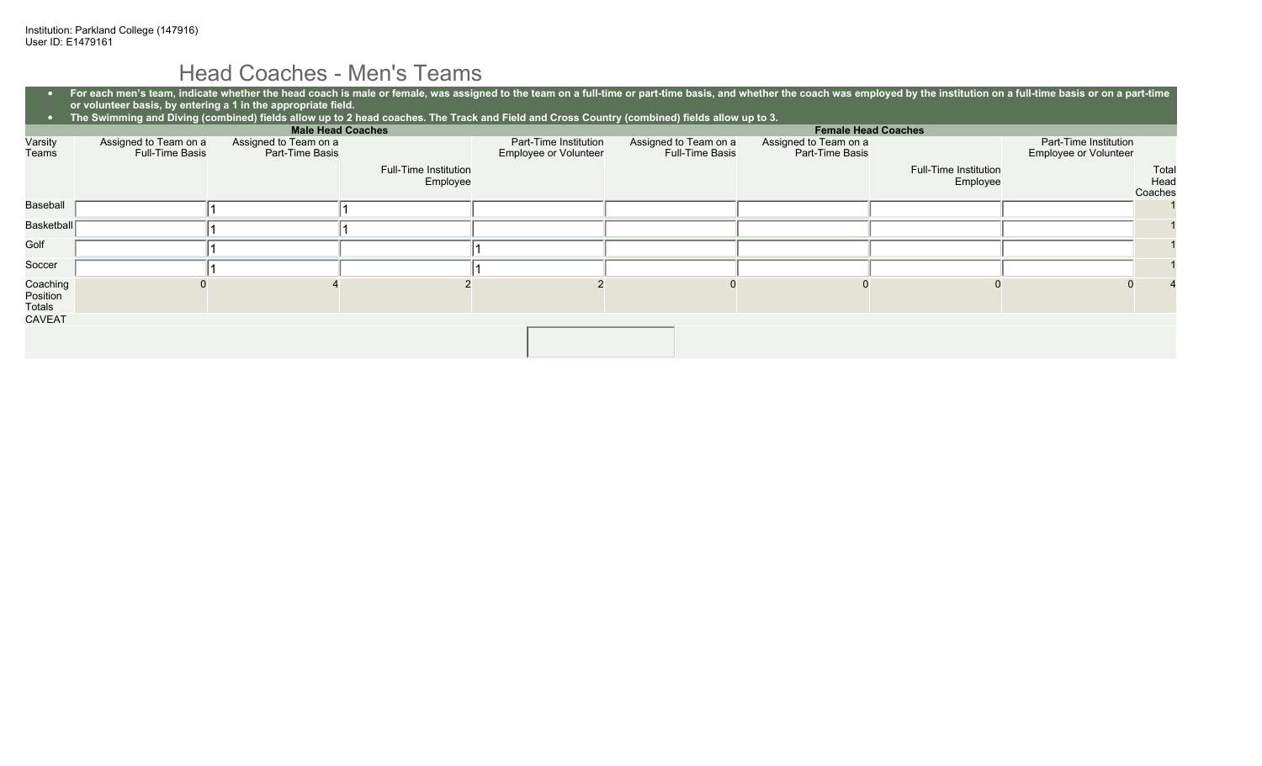## Head Coaches - Men's Teams

|                                | For each men's team, indicate whether the head coach is male or female, was assigned to the team on a full-time or part-time basis, and whether the coach was employed by the institution on a full-time basis or on a part-ti<br>or volunteer basis, by entering a 1 in the appropriate field. |                                          |                                   |                                                |                                                 |                                          |                                   |                                                       |  |
|--------------------------------|-------------------------------------------------------------------------------------------------------------------------------------------------------------------------------------------------------------------------------------------------------------------------------------------------|------------------------------------------|-----------------------------------|------------------------------------------------|-------------------------------------------------|------------------------------------------|-----------------------------------|-------------------------------------------------------|--|
|                                | The Swimming and Diving (combined) fields allow up to 2 head coaches. The Track and Field and Cross Country (combined) fields allow up to 3.                                                                                                                                                    |                                          |                                   |                                                |                                                 |                                          |                                   |                                                       |  |
|                                |                                                                                                                                                                                                                                                                                                 |                                          | <b>Male Head Coaches</b>          |                                                |                                                 |                                          | <b>Female Head Coaches</b>        |                                                       |  |
| Varsity<br>Teams               | Assigned to Team on a<br><b>Full-Time Basis</b>                                                                                                                                                                                                                                                 | Assigned to Team on a<br>Part-Time Basis |                                   | Part-Time Institution<br>Employee or Volunteer | Assigned to Team on a<br><b>Full-Time Basis</b> | Assigned to Team on a<br>Part-Time Basis |                                   | Part-Time Institution<br><b>Employee or Volunteer</b> |  |
|                                |                                                                                                                                                                                                                                                                                                 |                                          | Full-Time Institution<br>Employee |                                                |                                                 |                                          | Full-Time Institution<br>Employee | Total<br>Head<br>Coaches                              |  |
| Baseball                       |                                                                                                                                                                                                                                                                                                 |                                          |                                   |                                                |                                                 |                                          |                                   |                                                       |  |
| Basketball                     |                                                                                                                                                                                                                                                                                                 |                                          |                                   |                                                |                                                 |                                          |                                   |                                                       |  |
| Golf                           |                                                                                                                                                                                                                                                                                                 |                                          |                                   |                                                |                                                 |                                          |                                   |                                                       |  |
| Soccer                         |                                                                                                                                                                                                                                                                                                 |                                          |                                   |                                                |                                                 |                                          |                                   |                                                       |  |
| Coaching<br>Position<br>Totals |                                                                                                                                                                                                                                                                                                 |                                          |                                   |                                                |                                                 |                                          |                                   |                                                       |  |
| CAVEAT                         |                                                                                                                                                                                                                                                                                                 |                                          |                                   |                                                |                                                 |                                          |                                   |                                                       |  |
|                                |                                                                                                                                                                                                                                                                                                 |                                          |                                   |                                                |                                                 |                                          |                                   |                                                       |  |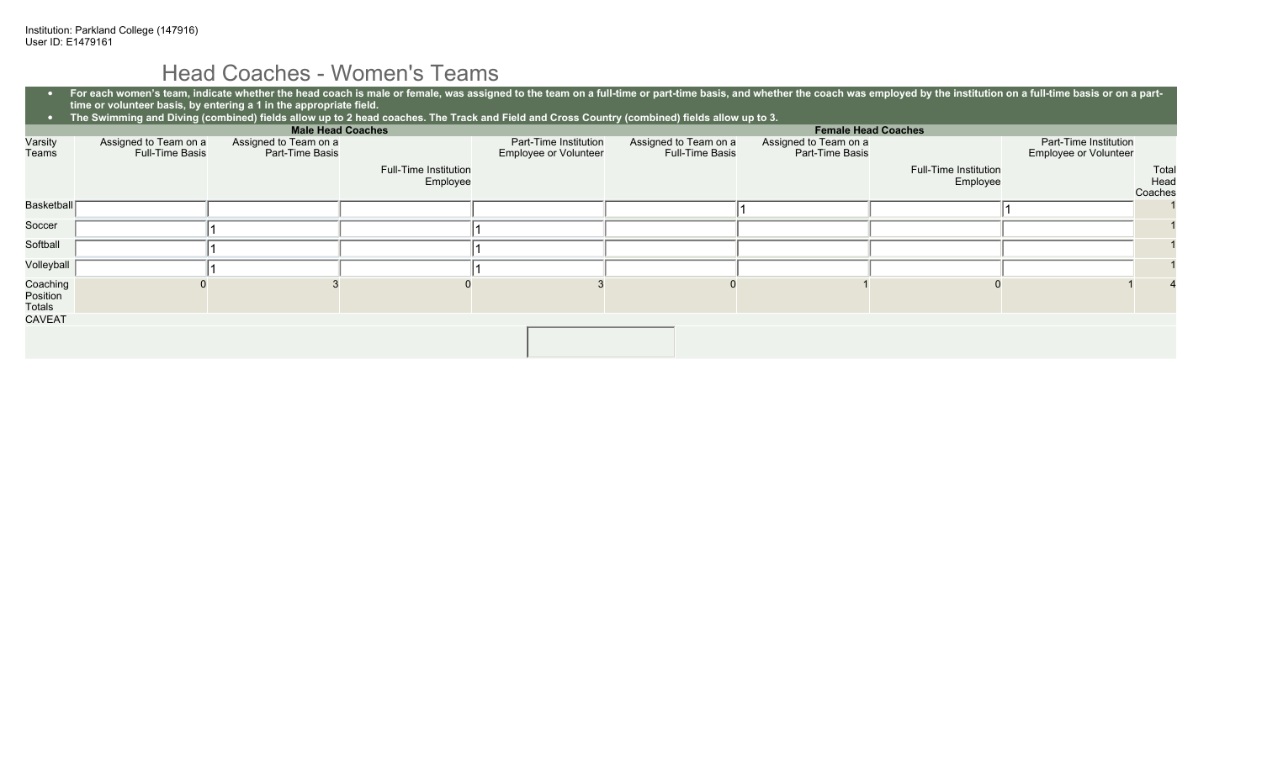## Head Coaches - Women's Teams

|                                | For each women's team, indicate whether the head coach is male or female, was assigned to the team on a full-time or part-time basis, and whether the coach was employed by the institution on a full-time basis or on a part-<br>time or volunteer basis, by entering a 1 in the appropriate field. |                                          |                                                                                                                                              |                                                |                                                 |                                          |                                          |                                                       |                          |
|--------------------------------|------------------------------------------------------------------------------------------------------------------------------------------------------------------------------------------------------------------------------------------------------------------------------------------------------|------------------------------------------|----------------------------------------------------------------------------------------------------------------------------------------------|------------------------------------------------|-------------------------------------------------|------------------------------------------|------------------------------------------|-------------------------------------------------------|--------------------------|
|                                |                                                                                                                                                                                                                                                                                                      |                                          | The Swimming and Diving (combined) fields allow up to 2 head coaches. The Track and Field and Cross Country (combined) fields allow up to 3. |                                                |                                                 |                                          |                                          |                                                       |                          |
|                                |                                                                                                                                                                                                                                                                                                      | <b>Male Head Coaches</b>                 |                                                                                                                                              |                                                |                                                 | <b>Female Head Coaches</b>               |                                          |                                                       |                          |
| Varsity<br>Teams               | Assigned to Team on a<br><b>Full-Time Basis</b>                                                                                                                                                                                                                                                      | Assigned to Team on a<br>Part-Time Basis |                                                                                                                                              | Part-Time Institution<br>Employee or Volunteer | Assigned to Team on a<br><b>Full-Time Basis</b> | Assigned to Team on a<br>Part-Time Basis |                                          | Part-Time Institution<br><b>Employee or Volunteer</b> |                          |
|                                |                                                                                                                                                                                                                                                                                                      |                                          | <b>Full-Time Institution</b><br>Employee                                                                                                     |                                                |                                                 |                                          | <b>Full-Time Institution</b><br>Employee |                                                       | Total<br>Head<br>Coaches |
| Basketball                     |                                                                                                                                                                                                                                                                                                      |                                          |                                                                                                                                              |                                                |                                                 |                                          |                                          |                                                       |                          |
| Soccer                         |                                                                                                                                                                                                                                                                                                      |                                          |                                                                                                                                              |                                                |                                                 |                                          |                                          |                                                       |                          |
| Softball                       |                                                                                                                                                                                                                                                                                                      |                                          |                                                                                                                                              |                                                |                                                 |                                          |                                          |                                                       |                          |
| Volleyball                     |                                                                                                                                                                                                                                                                                                      |                                          |                                                                                                                                              |                                                |                                                 |                                          |                                          |                                                       |                          |
| Coaching<br>Position<br>Totals |                                                                                                                                                                                                                                                                                                      |                                          |                                                                                                                                              |                                                |                                                 |                                          |                                          |                                                       |                          |
| CAVEAT                         |                                                                                                                                                                                                                                                                                                      |                                          |                                                                                                                                              |                                                |                                                 |                                          |                                          |                                                       |                          |
|                                |                                                                                                                                                                                                                                                                                                      |                                          |                                                                                                                                              |                                                |                                                 |                                          |                                          |                                                       |                          |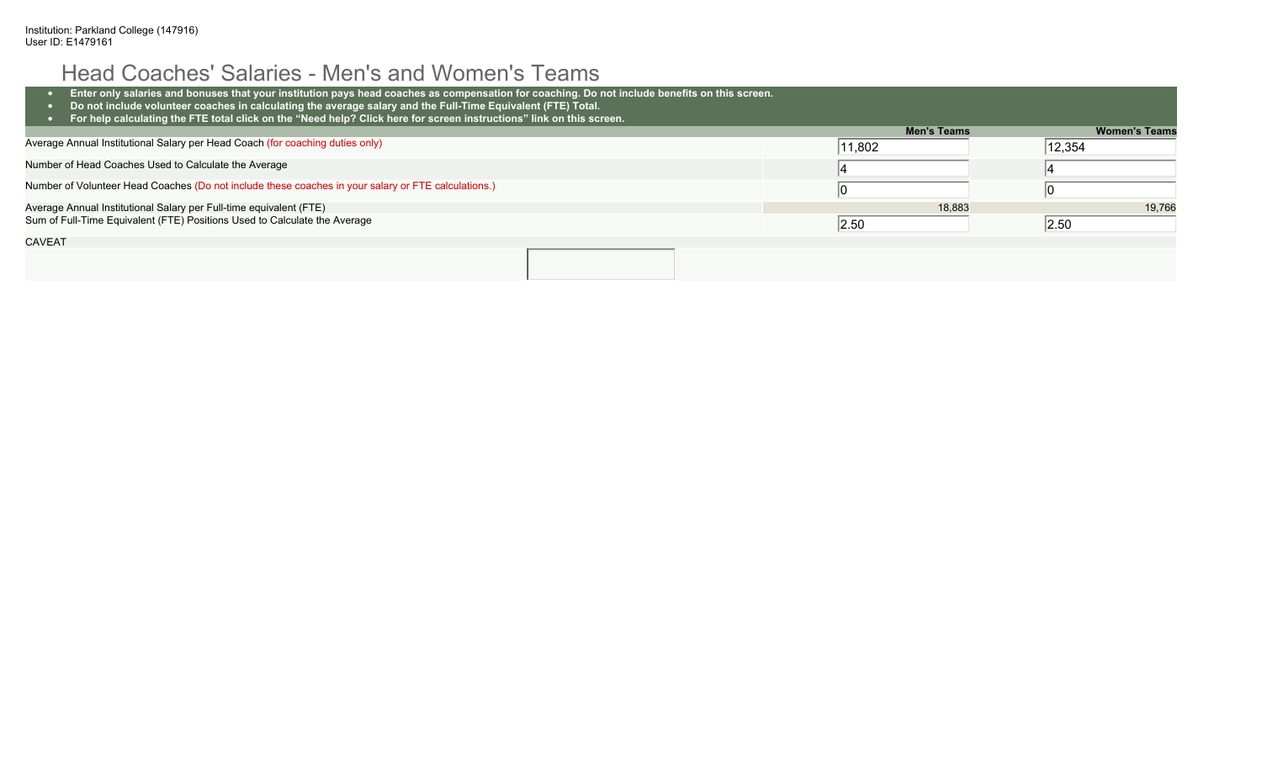# Head Coaches' Salaries - Men's and Women's Teams

| Enter only salaries and bonuses that your institution pays head coaches as compensation for coaching. Do not include benefits on this screen.<br>Do not include volunteer coaches in calculating the average salary and the Full-Time Equivalent (FTE) Total.<br>For help calculating the FTE total click on the "Need help? Click here for screen instructions" link on this screen. |                  |                      |
|---------------------------------------------------------------------------------------------------------------------------------------------------------------------------------------------------------------------------------------------------------------------------------------------------------------------------------------------------------------------------------------|------------------|----------------------|
|                                                                                                                                                                                                                                                                                                                                                                                       | Men's Teams      | <b>Women's Teams</b> |
| Average Annual Institutional Salary per Head Coach (for coaching duties only)                                                                                                                                                                                                                                                                                                         | $ 11,802\rangle$ | 12,354               |
| Number of Head Coaches Used to Calculate the Average                                                                                                                                                                                                                                                                                                                                  |                  |                      |
| Number of Volunteer Head Coaches (Do not include these coaches in your salary or FTE calculations.)                                                                                                                                                                                                                                                                                   |                  |                      |
| Average Annual Institutional Salary per Full-time equivalent (FTE)                                                                                                                                                                                                                                                                                                                    | 18,883           | 19,766               |
| Sum of Full-Time Equivalent (FTE) Positions Used to Calculate the Average                                                                                                                                                                                                                                                                                                             | 2.50             | 2.50                 |
| <b>CAVEAT</b>                                                                                                                                                                                                                                                                                                                                                                         |                  |                      |
|                                                                                                                                                                                                                                                                                                                                                                                       |                  |                      |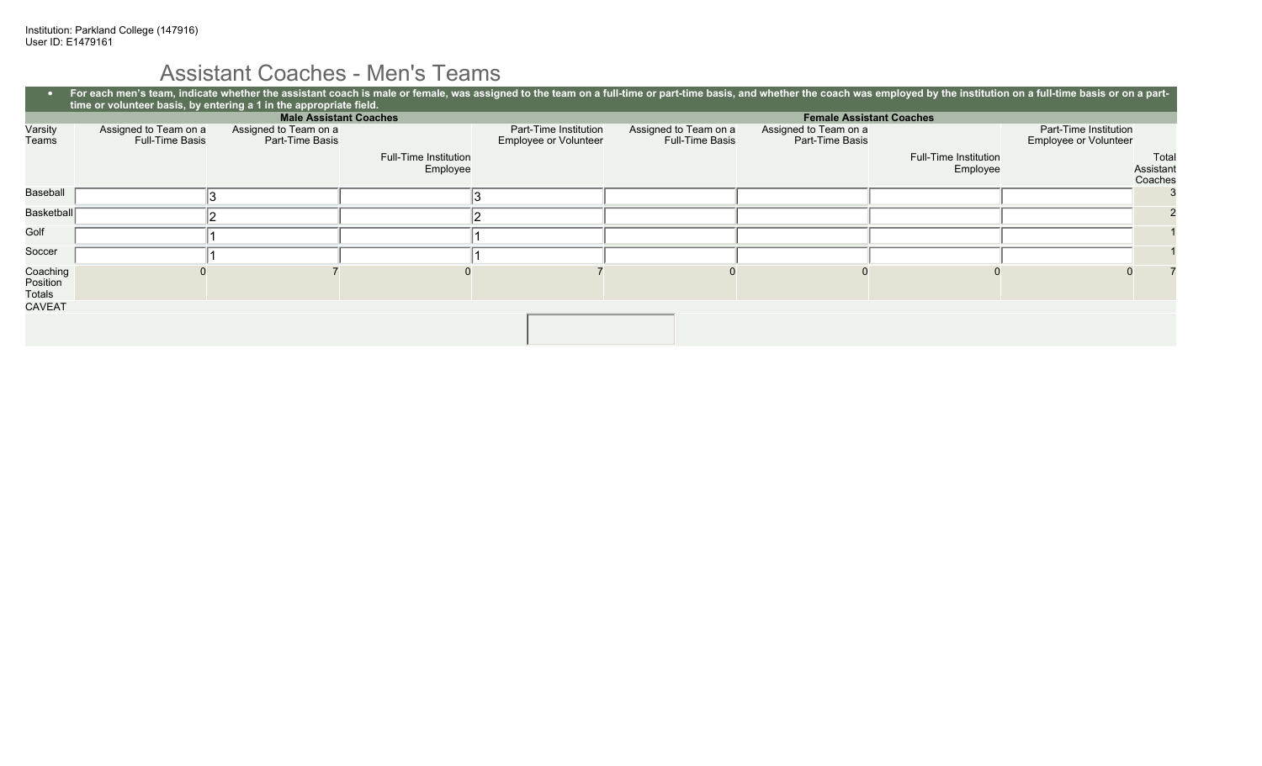# Assistant Coaches - Men's Teams

|                                | For each men's team, indicate whether the assistant coach is male or female, was assigned to the team on a full-time or part-time basis, and whether the coach was employed by the institution on a full-time basis or on a pa<br>time or volunteer basis, by entering a 1 in the appropriate field. |                                   |                                                |                                                 |                                          |                                   |                                                |                               |
|--------------------------------|------------------------------------------------------------------------------------------------------------------------------------------------------------------------------------------------------------------------------------------------------------------------------------------------------|-----------------------------------|------------------------------------------------|-------------------------------------------------|------------------------------------------|-----------------------------------|------------------------------------------------|-------------------------------|
|                                |                                                                                                                                                                                                                                                                                                      | <b>Male Assistant Coaches</b>     |                                                |                                                 |                                          | <b>Female Assistant Coaches</b>   |                                                |                               |
| Varsity<br>Teams               | Assigned to Team on a<br>Assigned to Team on a<br><b>Full-Time Basis</b><br>Part-Time Basis                                                                                                                                                                                                          |                                   | Part-Time Institution<br>Employee or Volunteer | Assigned to Team on a<br><b>Full-Time Basis</b> | Assigned to Team on a<br>Part-Time Basis |                                   | Part-Time Institution<br>Employee or Volunteer |                               |
|                                |                                                                                                                                                                                                                                                                                                      | Full-Time Institution<br>Employee |                                                |                                                 |                                          | Full-Time Institution<br>Employee |                                                | Total<br>Assistant<br>Coaches |
| Baseball                       |                                                                                                                                                                                                                                                                                                      |                                   |                                                |                                                 |                                          |                                   |                                                |                               |
| Basketball                     |                                                                                                                                                                                                                                                                                                      |                                   |                                                |                                                 |                                          |                                   |                                                |                               |
| Golf                           |                                                                                                                                                                                                                                                                                                      |                                   |                                                |                                                 |                                          |                                   |                                                |                               |
| Soccer                         |                                                                                                                                                                                                                                                                                                      |                                   |                                                |                                                 |                                          |                                   |                                                |                               |
| Coaching<br>Position<br>Totals |                                                                                                                                                                                                                                                                                                      |                                   |                                                |                                                 |                                          |                                   |                                                |                               |
| <b>CAVEAT</b>                  |                                                                                                                                                                                                                                                                                                      |                                   |                                                |                                                 |                                          |                                   |                                                |                               |
|                                |                                                                                                                                                                                                                                                                                                      |                                   |                                                |                                                 |                                          |                                   |                                                |                               |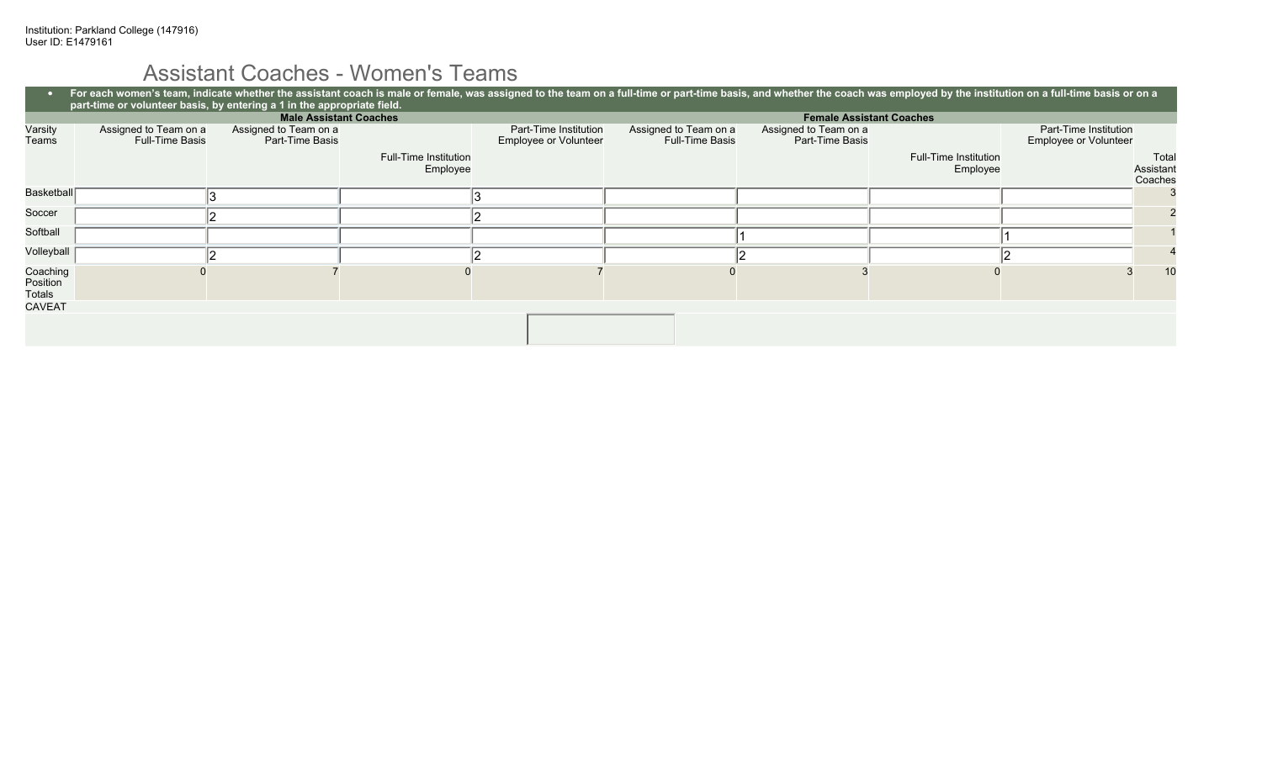# Assistant Coaches - Women's Teams

|                                | For each women's team, indicate whether the assistant coach is male or female, was assigned to the team on a full-time or part-time basis, and whether the coach was employed by the institution on a full-time basis or on a<br>part-time or volunteer basis, by entering a 1 in the appropriate field. |                                          |                                   |                                                |                                                 |                                          |                                          |                                                |                               |
|--------------------------------|----------------------------------------------------------------------------------------------------------------------------------------------------------------------------------------------------------------------------------------------------------------------------------------------------------|------------------------------------------|-----------------------------------|------------------------------------------------|-------------------------------------------------|------------------------------------------|------------------------------------------|------------------------------------------------|-------------------------------|
|                                |                                                                                                                                                                                                                                                                                                          | <b>Male Assistant Coaches</b>            |                                   |                                                |                                                 |                                          | <b>Female Assistant Coaches</b>          |                                                |                               |
| Varsity<br>Teams               | Assigned to Team on a<br><b>Full-Time Basis</b>                                                                                                                                                                                                                                                          | Assigned to Team on a<br>Part-Time Basis |                                   | Part-Time Institution<br>Employee or Volunteer | Assigned to Team on a<br><b>Full-Time Basis</b> | Assigned to Team on a<br>Part-Time Basis |                                          | Part-Time Institution<br>Employee or Volunteer |                               |
|                                |                                                                                                                                                                                                                                                                                                          |                                          | Full-Time Institution<br>Employee |                                                |                                                 |                                          | <b>Full-Time Institution</b><br>Employee |                                                | Total<br>Assistant<br>Coaches |
| Basketball                     |                                                                                                                                                                                                                                                                                                          |                                          |                                   |                                                |                                                 |                                          |                                          |                                                |                               |
| Soccer                         |                                                                                                                                                                                                                                                                                                          |                                          |                                   |                                                |                                                 |                                          |                                          |                                                |                               |
| Softball                       |                                                                                                                                                                                                                                                                                                          |                                          |                                   |                                                |                                                 |                                          |                                          |                                                |                               |
| Volleyball                     |                                                                                                                                                                                                                                                                                                          |                                          |                                   |                                                |                                                 |                                          |                                          |                                                |                               |
| Coaching<br>Position<br>Totals |                                                                                                                                                                                                                                                                                                          |                                          |                                   |                                                |                                                 |                                          |                                          |                                                | 10                            |
| <b>CAVEAT</b>                  |                                                                                                                                                                                                                                                                                                          |                                          |                                   |                                                |                                                 |                                          |                                          |                                                |                               |
|                                |                                                                                                                                                                                                                                                                                                          |                                          |                                   |                                                |                                                 |                                          |                                          |                                                |                               |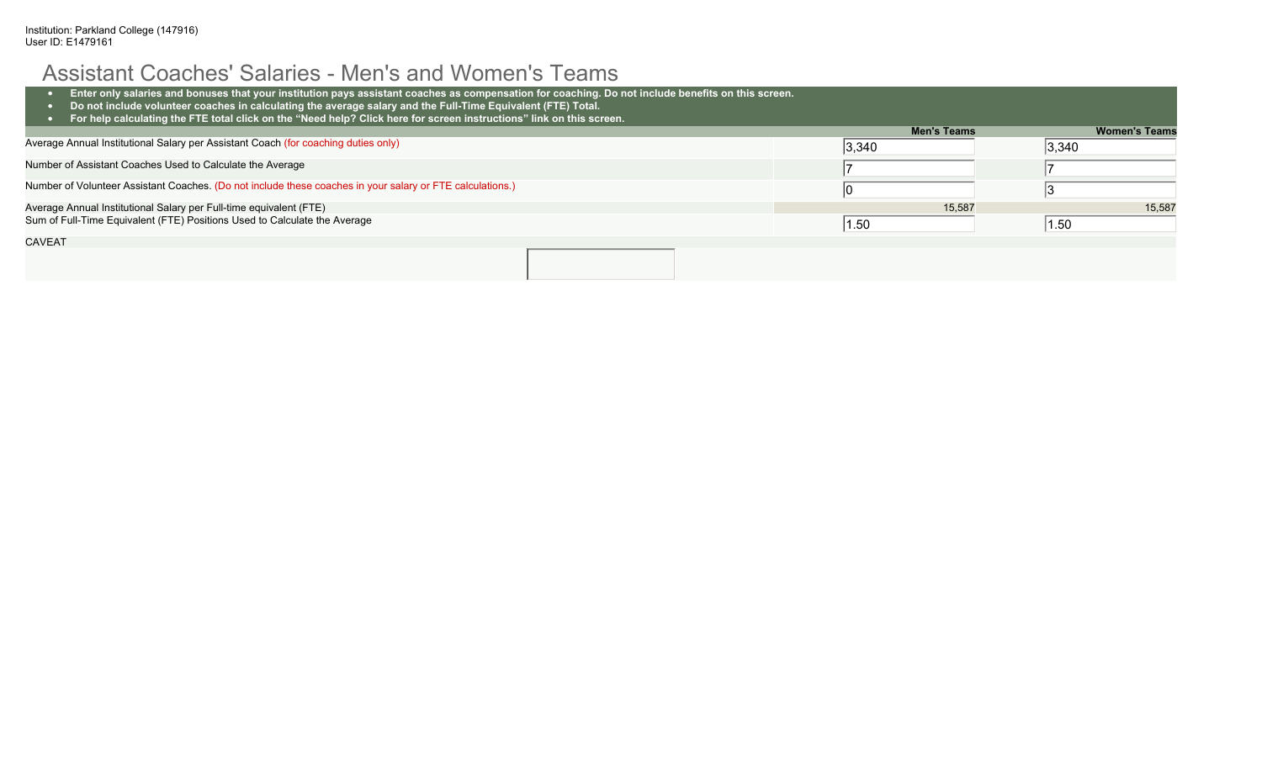## Assistant Coaches' Salaries - Men's and Women's Teams

| Enter only salaries and bonuses that your institution pays assistant coaches as compensation for coaching. Do not include benefits on this screen.<br>Do not include volunteer coaches in calculating the average salary and the Full-Time Equivalent (FTE) Total.<br>For help calculating the FTE total click on the "Need help? Click here for screen instructions" link on this screen. |                    |                      |
|--------------------------------------------------------------------------------------------------------------------------------------------------------------------------------------------------------------------------------------------------------------------------------------------------------------------------------------------------------------------------------------------|--------------------|----------------------|
|                                                                                                                                                                                                                                                                                                                                                                                            | <b>Men's Teams</b> | <b>Women's Teams</b> |
| Average Annual Institutional Salary per Assistant Coach (for coaching duties only)                                                                                                                                                                                                                                                                                                         | $ 3,340\rangle$    | 3,340                |
| Number of Assistant Coaches Used to Calculate the Average                                                                                                                                                                                                                                                                                                                                  |                    |                      |
| Number of Volunteer Assistant Coaches. (Do not include these coaches in your salary or FTE calculations.)                                                                                                                                                                                                                                                                                  |                    |                      |
| Average Annual Institutional Salary per Full-time equivalent (FTE)                                                                                                                                                                                                                                                                                                                         | 15,587             | 15.587               |
| Sum of Full-Time Equivalent (FTE) Positions Used to Calculate the Average                                                                                                                                                                                                                                                                                                                  | 1.50               | 1.50                 |
| <b>CAVEAT</b>                                                                                                                                                                                                                                                                                                                                                                              |                    |                      |
|                                                                                                                                                                                                                                                                                                                                                                                            |                    |                      |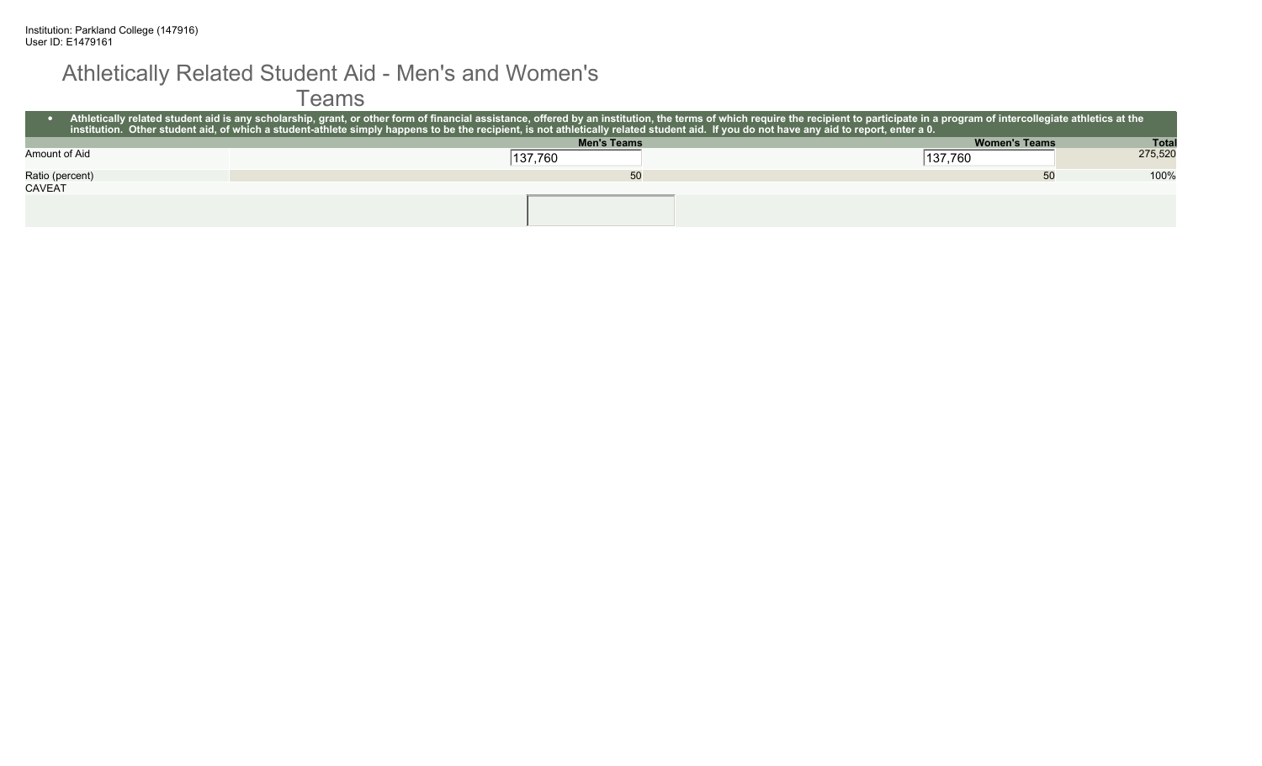#### Athletically Related Student Aid - Men's and Women's

Teams

|                 | Athletically related student aid is any scholarship, grant, or other form of financial assistance, offered by an institution, the terms of which require the recipient to participate in a program of intercollegiate athletic<br><u>l institution. Other student aid,</u> of which a student-athlete simply happens to be the recipient, is not athletically related student aid. If you do not have any aid to report, enter a 0. <sub>i</sub> |                      |              |
|-----------------|--------------------------------------------------------------------------------------------------------------------------------------------------------------------------------------------------------------------------------------------------------------------------------------------------------------------------------------------------------------------------------------------------------------------------------------------------|----------------------|--------------|
|                 | <b>Men's Teams</b>                                                                                                                                                                                                                                                                                                                                                                                                                               | <b>Women's Teams</b> | <b>Total</b> |
| Amount of Aid   | 137,760                                                                                                                                                                                                                                                                                                                                                                                                                                          | 137,760              | 275,520      |
| Ratio (percent) | 50                                                                                                                                                                                                                                                                                                                                                                                                                                               | 50                   | 100%         |
| <b>CAVEAT</b>   |                                                                                                                                                                                                                                                                                                                                                                                                                                                  |                      |              |
|                 |                                                                                                                                                                                                                                                                                                                                                                                                                                                  |                      |              |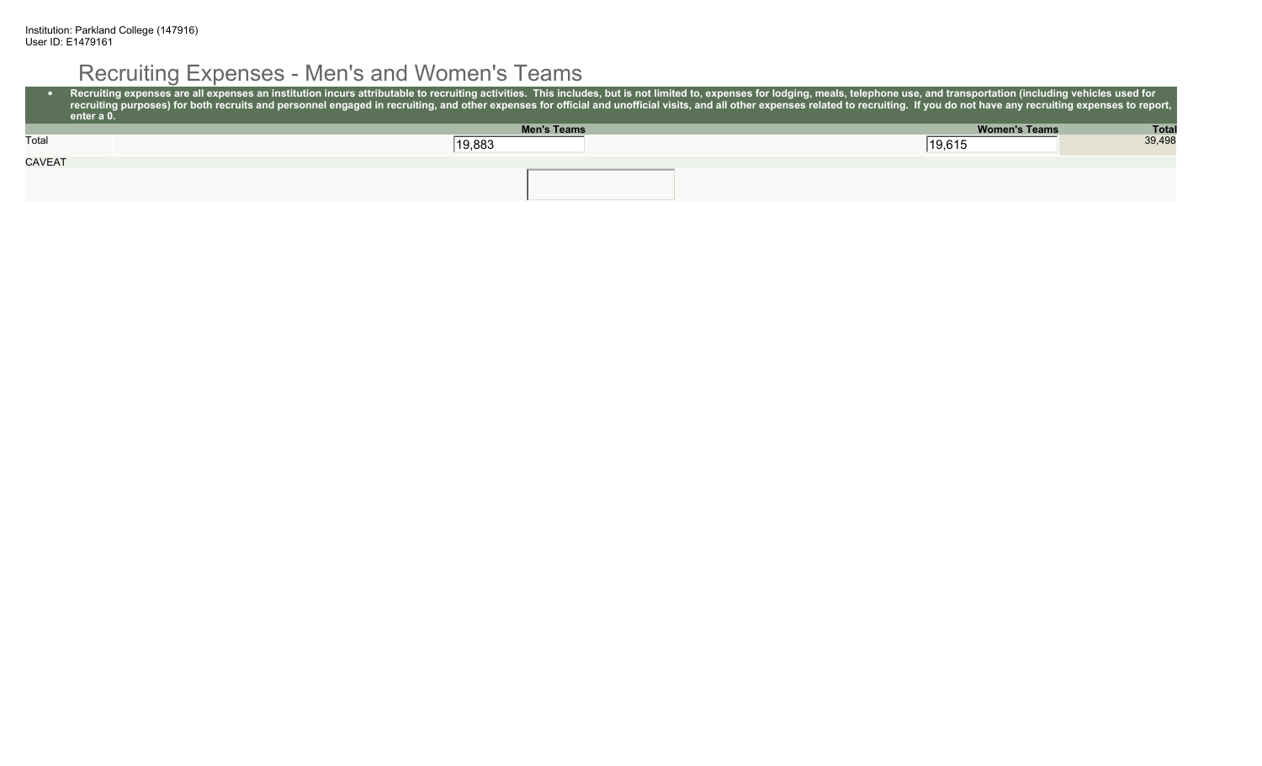# Recruiting Expenses - Men's and Women's Teams

|               | Recruiting expenses are all expenses an institution incurs attributable to recruiting activities. This includes, but is not limited to, expenses for lodging, meals, telephone use, and transportation (including vehicles use<br>recruiting purposes) for both recruits and personnel engaged in recruiting, and other expenses for official and unofficial visits, and all other expenses related to recruiting. If you do not have any recruiting expenses to<br>enter a 0. |                      |              |
|---------------|--------------------------------------------------------------------------------------------------------------------------------------------------------------------------------------------------------------------------------------------------------------------------------------------------------------------------------------------------------------------------------------------------------------------------------------------------------------------------------|----------------------|--------------|
|               | <b>Men's Teams</b>                                                                                                                                                                                                                                                                                                                                                                                                                                                             | <b>Women's Teams</b> | <b>Total</b> |
| Total         | 19,883                                                                                                                                                                                                                                                                                                                                                                                                                                                                         | 19,615               | 39.498       |
| <b>CAVEAT</b> |                                                                                                                                                                                                                                                                                                                                                                                                                                                                                |                      |              |
|               |                                                                                                                                                                                                                                                                                                                                                                                                                                                                                |                      |              |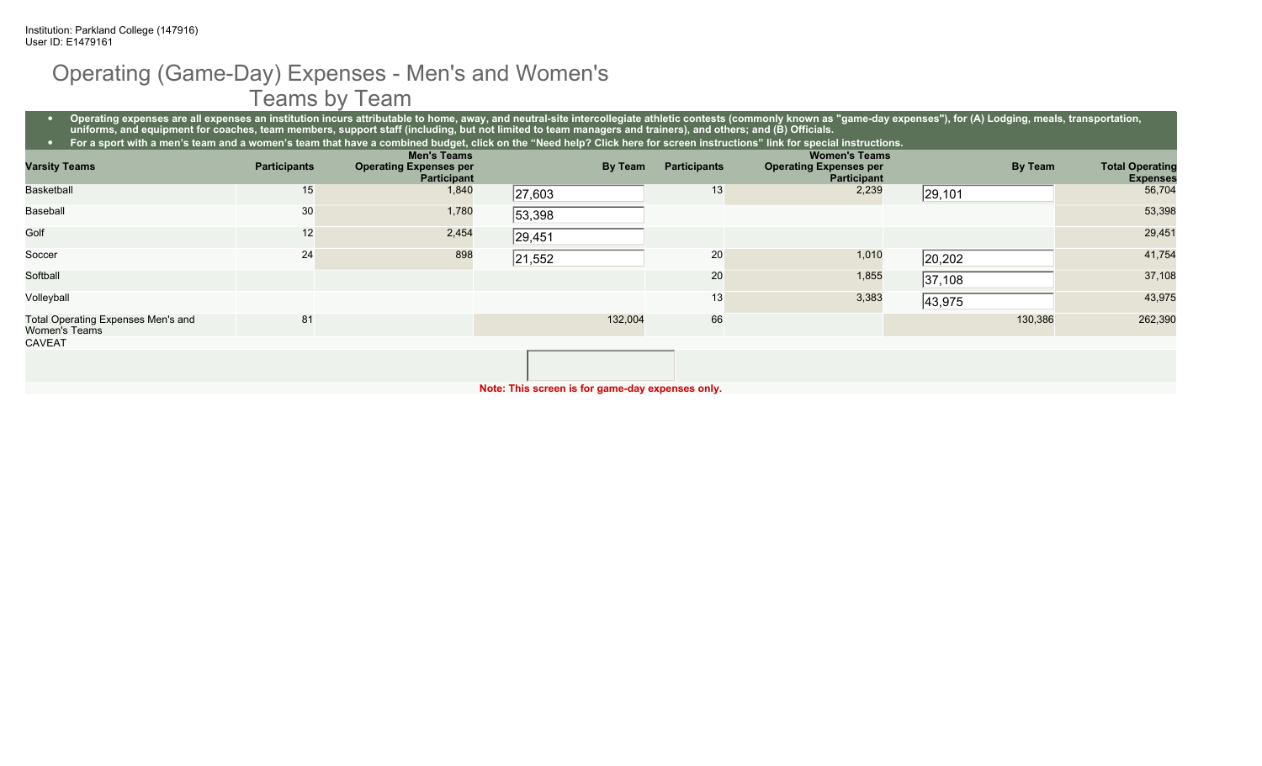### Operating (Game-Day) Expenses - Men's and Women's Teams by Team

• Operating expenses are all expenses an institution incurs attributable to home, away, and neutral-site intercollegiate athletic contests (commonly known as "game-day expenses"), for (A) Lodging, meals, transportation, **uniforms, and equipment for coaches, team members, support staff (including, but not limited to team managers and trainers), and others; and (B) Officials.**

| For a sport with a men's team and a women's team that have a combined budget, click on the "Need help? Click here for screen instructions" link for special instructions. |                     |                               |        |         |                     |                               |         |                        |
|---------------------------------------------------------------------------------------------------------------------------------------------------------------------------|---------------------|-------------------------------|--------|---------|---------------------|-------------------------------|---------|------------------------|
|                                                                                                                                                                           |                     | <b>Men's Teams</b>            |        |         |                     | <b>Women's Teams</b>          |         |                        |
| <b>Varsity Teams</b>                                                                                                                                                      | <b>Participants</b> | <b>Operating Expenses per</b> |        | By Team | <b>Participants</b> | <b>Operating Expenses per</b> | By Team | <b>Total Operating</b> |
|                                                                                                                                                                           |                     | <b>Participant</b>            |        |         |                     | <b>Participant</b>            |         | <b>Expenses</b>        |
| <b>Basketball</b>                                                                                                                                                         | 15                  | 1,840                         | 27,603 |         | 13                  | 2,239                         | 29, 101 | 56,704                 |
| Baseball                                                                                                                                                                  | 30                  | 1,780                         | 53,398 |         |                     |                               |         | 53,398                 |
| Golf                                                                                                                                                                      | 12                  | 2,454                         | 29,451 |         |                     |                               |         | 29,451                 |
| Soccer                                                                                                                                                                    | 24                  | 898                           | 21,552 |         | 20                  | 1,010                         | 20,202  | 41,754                 |
| Softball                                                                                                                                                                  |                     |                               |        |         | 20                  | 1,855                         | 37,108  | 37,108                 |
| Volleyball                                                                                                                                                                |                     |                               |        |         | 13 <sub>1</sub>     | 3,383                         | 43,975  | 43,975                 |
| Total Operating Expenses Men's and<br>Women's Teams                                                                                                                       | 81                  |                               |        | 132,004 | 66                  |                               | 130,386 | 262,390                |
| <b>CAVEAT</b>                                                                                                                                                             |                     |                               |        |         |                     |                               |         |                        |

**Note: This screen is for game-day expenses only.**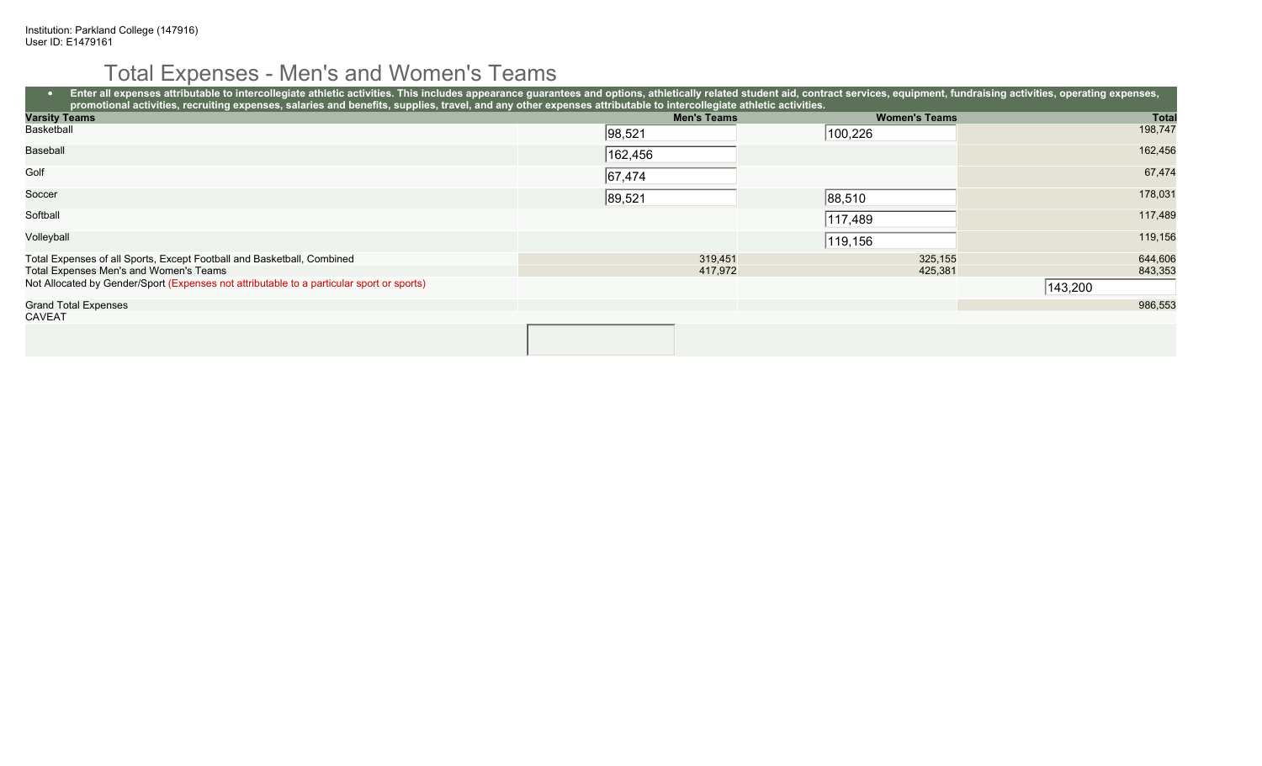# Total Expenses - Men's and Women's Teams

| Enter all expenses attributable to intercollegiate athletic activities. This includes appearance guarantees and options, athletically related student aid, contract services, equipment, fundraising activities, operating exp<br>promotional activities, recruiting expenses, salaries and benefits, supplies, travel, and any other expenses attributable to intercollegiate athletic activities. |                    |                      |              |
|-----------------------------------------------------------------------------------------------------------------------------------------------------------------------------------------------------------------------------------------------------------------------------------------------------------------------------------------------------------------------------------------------------|--------------------|----------------------|--------------|
| <b>Varsity Teams</b>                                                                                                                                                                                                                                                                                                                                                                                | <b>Men's Teams</b> | <b>Women's Teams</b> | <b>Total</b> |
| Basketball                                                                                                                                                                                                                                                                                                                                                                                          | 98,521             | 100,226              | 198,747      |
| <b>Baseball</b>                                                                                                                                                                                                                                                                                                                                                                                     | 162,456            |                      | 162,456      |
| Golf                                                                                                                                                                                                                                                                                                                                                                                                | 67,474             |                      | 67,474       |
| Soccer                                                                                                                                                                                                                                                                                                                                                                                              | 89,521             | 88,510               | 178,031      |
| Softball                                                                                                                                                                                                                                                                                                                                                                                            |                    | 117,489              | 117,489      |
| Volleyball                                                                                                                                                                                                                                                                                                                                                                                          |                    | 119,156              | 119,156      |
| Total Expenses of all Sports, Except Football and Basketball, Combined                                                                                                                                                                                                                                                                                                                              | 319,451            | 325,155              | 644,606      |
| Total Expenses Men's and Women's Teams                                                                                                                                                                                                                                                                                                                                                              | 417,972            | 425,381              | 843,353      |
| Not Allocated by Gender/Sport (Expenses not attributable to a particular sport or sports)                                                                                                                                                                                                                                                                                                           |                    |                      | 143,200      |
| <b>Grand Total Expenses</b>                                                                                                                                                                                                                                                                                                                                                                         |                    |                      | 986,553      |
| CAVEAT                                                                                                                                                                                                                                                                                                                                                                                              |                    |                      |              |
|                                                                                                                                                                                                                                                                                                                                                                                                     |                    |                      |              |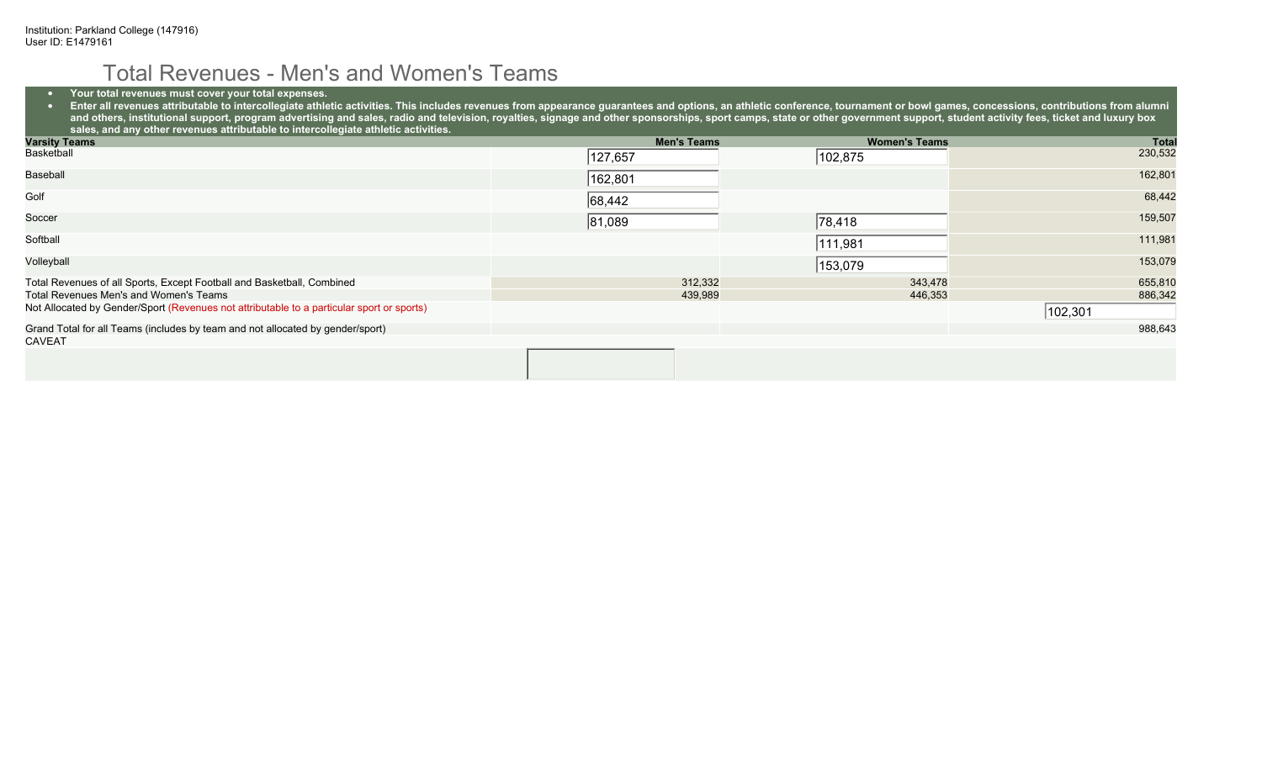#### Total Revenues - Men's and Women's Teams

• **Your total revenues must cover your total expenses.**

● Enter all revenues attributable to intercollegiate athletic activities. This includes revenues from appearance guarantees and options, an athletic conference, tournament or bowl games, concessions, contributions from a and others, institutional support, program advertising and sales, radio and television, royalties, signage and other sponsorships, sport camps, state or other government support, student activity fees, ticket and luxury bo **sales, and any other revenues attributable to intercollegiate athletic activities.**

| <b>Varsity Teams</b>                                                                      | <b>Men's Teams</b> | <b>Women's Teams</b> | <b>Total</b> |
|-------------------------------------------------------------------------------------------|--------------------|----------------------|--------------|
| Basketball                                                                                | 127,657            | 102,875              | 230,532      |
| Baseball                                                                                  | 162,801            |                      | 162,801      |
| Golf                                                                                      | 68,442             |                      | 68,442       |
| Soccer                                                                                    | 81,089             | 78,418               | 159,507      |
| Softball                                                                                  |                    | 111,981              | 111,981      |
| Volleyball                                                                                |                    | 153,079              | 153,079      |
| Total Revenues of all Sports, Except Football and Basketball, Combined                    | 312,332            | 343,478              | 655,810      |
| Total Revenues Men's and Women's Teams                                                    | 439,989            | 446,353              | 886,342      |
| Not Allocated by Gender/Sport (Revenues not attributable to a particular sport or sports) |                    |                      | 102,301      |
| Grand Total for all Teams (includes by team and not allocated by gender/sport)            |                    |                      | 988,643      |
| <b>CAVEAT</b>                                                                             |                    |                      |              |
|                                                                                           |                    |                      |              |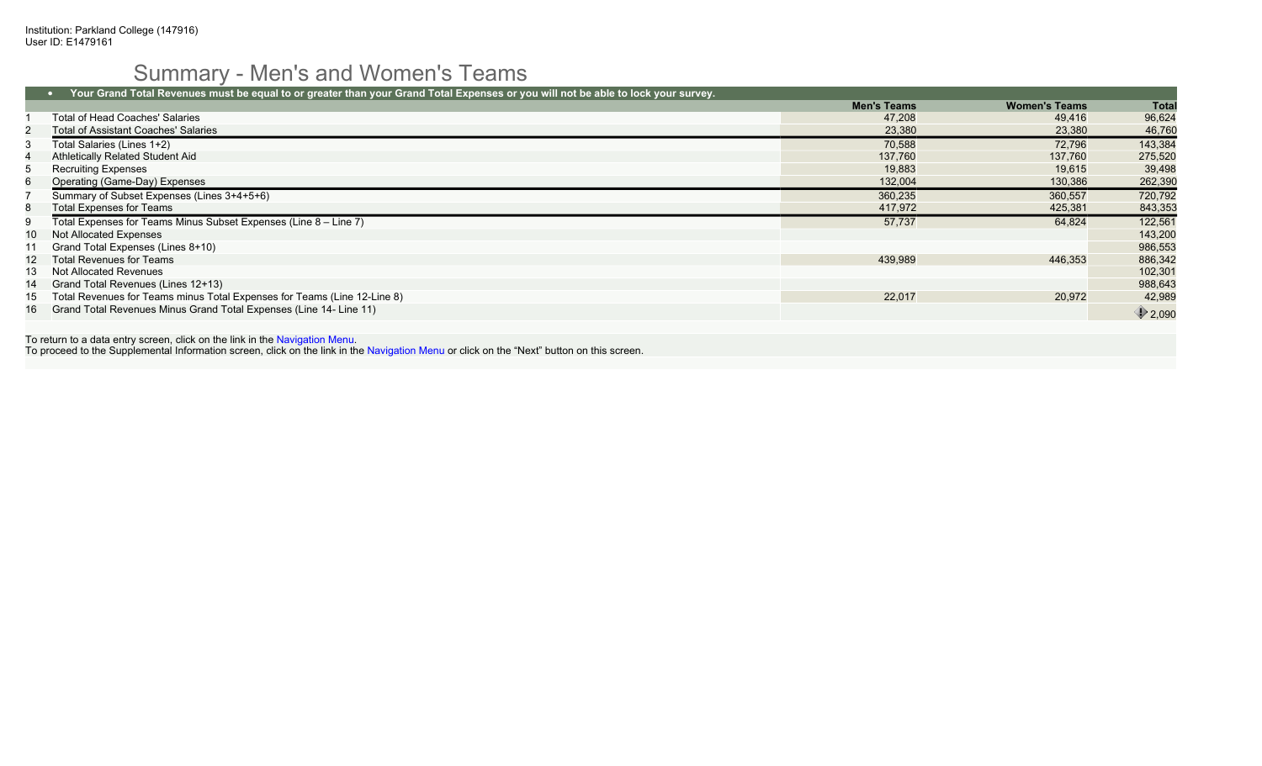# Summary - Men's and Women's Teams

|     | Your Grand Total Revenues must be equal to or greater than your Grand Total Expenses or you will not be able to lock your survey. |                    |                      |                  |
|-----|-----------------------------------------------------------------------------------------------------------------------------------|--------------------|----------------------|------------------|
|     |                                                                                                                                   | <b>Men's Teams</b> | <b>Women's Teams</b> | Total            |
|     | Total of Head Coaches' Salaries                                                                                                   | 47.208             | 49.416               | 96,624           |
|     | <b>Total of Assistant Coaches' Salaries</b>                                                                                       | 23,380             | 23,380               | 46,760           |
|     | Total Salaries (Lines 1+2)                                                                                                        | 70.588             | 72.796               | 143,384          |
|     | Athletically Related Student Aid                                                                                                  | 137,760            | 137.760              | 275,520          |
| 5   | <b>Recruiting Expenses</b>                                                                                                        | 19,883             | 19,615               | 39,498           |
| 6   | Operating (Game-Day) Expenses                                                                                                     | 132,004            | 130,386              | 262,390          |
|     | Summary of Subset Expenses (Lines 3+4+5+6)                                                                                        | 360,235            | 360,557              | 720,792          |
| 8   | <b>Total Expenses for Teams</b>                                                                                                   | 417,972            | 425,381              | 843,353          |
| 9   | Total Expenses for Teams Minus Subset Expenses (Line 8 - Line 7)                                                                  | 57,737             | 64.824               | 122,561          |
| 10. | Not Allocated Expenses                                                                                                            |                    |                      | 143,200          |
|     | Grand Total Expenses (Lines 8+10)                                                                                                 |                    |                      | 986,553          |
| 12  | Total Revenues for Teams                                                                                                          | 439,989            | 446,353              | 886,342          |
| 13  | Not Allocated Revenues                                                                                                            |                    |                      | 102,301          |
| 14  | Grand Total Revenues (Lines 12+13)                                                                                                |                    |                      | 988,643          |
| 15  | Total Revenues for Teams minus Total Expenses for Teams (Line 12-Line 8)                                                          | 22,017             | 20.972               | 42,989           |
| 16  | Grand Total Revenues Minus Grand Total Expenses (Line 14- Line 11)                                                                |                    |                      | $\bigcirc$ 2,090 |

To return to a data entry screen, click on the link in the Navigation Menu. To proceed to the Supplemental Information screen, click on the link in the Navigation Menu or click on the "Next" button on this screen.